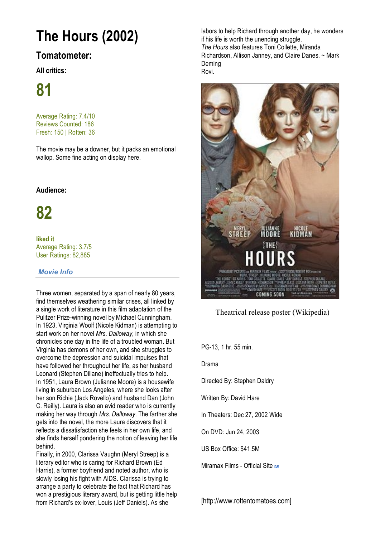## **The Hours (2002)**

### **Tomatometer:**

**All critics:**



Average Rating: 7.4/10 Reviews Counted: 186 Fresh: 150 | Rotten: 36

The movie may be a downer, but it packs an emotional wallop. Some fine acting on display here.

#### **Audience:**

**82**

**liked it** Average Rating: 3.7/5 User Ratings: 82,885

#### *Movie Info*

Three women, separated by a span of nearly 80 years, find themselves weathering similar crises, all linked by a single work of literature in this film adaptation of the Pulitzer Prize-winning novel by Michael Cunningham. In 1923, Virginia Woolf (Nicole Kidman) is attempting to start work on her novel *Mrs. Dalloway*, in which she chronicles one day in the life of a troubled woman. But Virginia has demons of her own, and she struggles to overcome the depression and suicidal impulses that have followed her throughout her life, as her husband Leonard (Stephen Dillane) ineffectually tries to help. In 1951, Laura Brown (Julianne Moore) is a housewife living in suburban Los Angeles, where she looks after her son Richie (Jack Rovello) and husband Dan (John C. Reilly). Laura is also an avid reader who is currently making her way through *Mrs. Dalloway*. The farther she gets into the novel, the more Laura discovers that it reflects a dissatisfaction she feels in her own life, and she finds herself pondering the notion of leaving her life behind.

Finally, in 2000, Clarissa Vaughn (Meryl Streep) is a literary editor who is caring for Richard Brown (Ed Harris), a former boyfriend and noted author, who is slowly losing his fight with AIDS. Clarissa is trying to arrange a party to celebrate the fact that Richard has won a prestigious literary award, but is getting little help from Richard's ex-lover, Louis (Jeff Daniels). As she

labors to help Richard through another day, he wonders if his life is worth the unending struggle. *The Hours* also features Toni Collette, Miranda Richardson, Allison Janney, and Claire Danes. ~ Mark Deming Rovi.



#### Theatrical release poster (Wikipedia)

PG-13, 1 hr. 55 min.

Drama

Directed By: Stephen Daldry

Written By: David Hare

In Theaters: Dec 27, 2002 Wide

On DVD: Jun 24, 2003

US Box Office: \$41.5M

Miramax Films - Official Site

[http://www.rottentomatoes.com]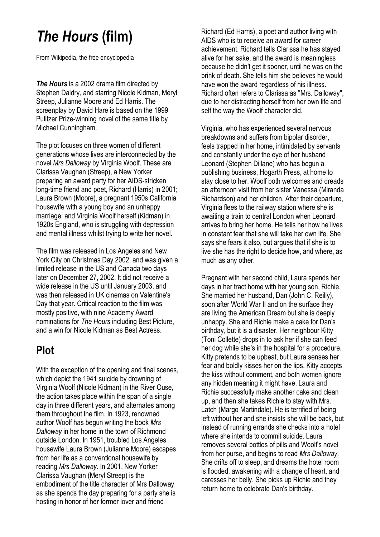# *The Hours* **(film)**

From Wikipedia, the free encyclopedia

*The Hours* is a 2002 drama film directed by Stephen Daldry, and starring Nicole Kidman, Meryl Streep, Julianne Moore and Ed Harris. The screenplay by David Hare is based on the 1999 Pulitzer Prize-winning novel of the same title by Michael Cunningham.

The plot focuses on three women of different generations whose lives are interconnected by the novel *Mrs Dalloway* by Virginia Woolf. These are Clarissa Vaughan (Streep), a New Yorker preparing an award party for her AIDS-stricken long-time friend and poet, Richard (Harris) in 2001; Laura Brown (Moore), a pregnant 1950s California housewife with a young boy and an unhappy marriage; and Virginia Woolf herself (Kidman) in 1920s England, who is struggling with depression and mental illness whilst trying to write her novel.

The film was released in Los Angeles and New York City on Christmas Day 2002, and was given a limited release in the US and Canada two days later on December 27, 2002. It did not receive a wide release in the US until January 2003, and was then released in UK cinemas on Valentine's Day that year. Critical reaction to the film was mostly positive, with nine Academy Award nominations for *The Hours* including Best Picture, and a win for Nicole Kidman as Best Actress.

## **Plot**

With the exception of the opening and final scenes, which depict the 1941 suicide by drowning of Virginia Woolf (Nicole Kidman) in the River Ouse, the action takes place within the span of a single day in three different years, and alternates among them throughout the film. In 1923, renowned author Woolf has begun writing the book *Mrs Dalloway* in her home in the town of Richmond outside London. In 1951, troubled Los Angeles housewife Laura Brown (Julianne Moore) escapes from her life as a conventional housewife by reading *Mrs Dalloway*. In 2001, New Yorker Clarissa Vaughan (Meryl Streep) is the embodiment of the title character of Mrs Dalloway as she spends the day preparing for a party she is hosting in honor of her former lover and friend

Richard (Ed Harris), a poet and author living with AIDS who is to receive an award for career achievement. Richard tells Clarissa he has stayed alive for her sake, and the award is meaningless because he didn't get it sooner, until he was on the brink of death. She tells him she believes he would have won the award regardless of his illness. Richard often refers to Clarissa as "Mrs. Dalloway", due to her distracting herself from her own life and self the way the Woolf character did.

Virginia, who has experienced several nervous breakdowns and suffers from bipolar disorder, feels trapped in her home, intimidated by servants and constantly under the eye of her husband Leonard (Stephen Dillane) who has begun a publishing business, Hogarth Press, at home to stay close to her. Woolf both welcomes and dreads an afternoon visit from her sister Vanessa (Miranda Richardson) and her children. After their departure, Virginia flees to the railway station where she is awaiting a train to central London when Leonard arrives to bring her home. He tells her how he lives in constant fear that she will take her own life. She says she fears it also, but argues that if she is to live she has the right to decide how, and where, as much as any other.

Pregnant with her second child, Laura spends her days in her tract home with her young son, Richie. She married her husband, Dan (John C. Reilly), soon after World War II and on the surface they are living the American Dream but she is deeply unhappy. She and Richie make a cake for Dan's birthday, but it is a disaster. Her neighbour Kitty (Toni Collette) drops in to ask her if she can feed her dog while she's in the hospital for a procedure. Kitty pretends to be upbeat, but Laura senses her fear and boldly kisses her on the lips. Kitty accepts the kiss without comment, and both women ignore any hidden meaning it might have. Laura and Richie successfully make another cake and clean up, and then she takes Richie to stay with Mrs. Latch (Margo Martindale). He is terrified of being left without her and she insists she will be back, but instead of running errands she checks into a hotel where she intends to commit suicide. Laura removes several bottles of pills and Woolf's novel from her purse, and begins to read *Mrs Dalloway*. She drifts off to sleep, and dreams the hotel room is flooded, awakening with a change of heart, and caresses her belly. She picks up Richie and they return home to celebrate Dan's birthday.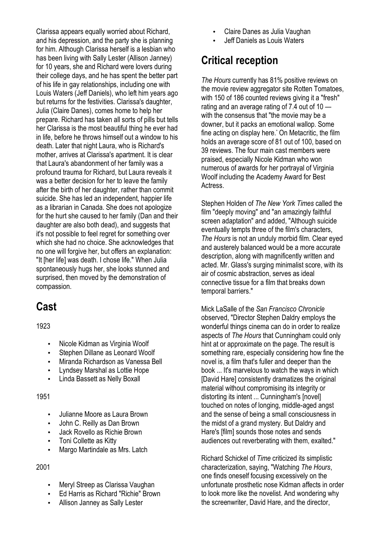Clarissa appears equally worried about Richard, and his depression, and the party she is planning for him. Although Clarissa herself is a lesbian who has been living with Sally Lester (Allison Janney) for 10 years, she and Richard were lovers during their college days, and he has spent the better part of his life in gay relationships, including one with Louis Waters (Jeff Daniels), who left him years ago but returns for the festivities. Clarissa's daughter, Julia (Claire Danes), comes home to help her prepare. Richard has taken all sorts of pills but tells her Clarissa is the most beautiful thing he ever had in life, before he throws himself out a window to his death. Later that night Laura, who is Richard's mother, arrives at Clarissa's apartment. It is clear that Laura's abandonment of her family was a profound trauma for Richard, but Laura reveals it was a better decision for her to leave the family after the birth of her daughter, rather than commit suicide. She has led an independent, happier life as a librarian in Canada. She does not apologize for the hurt she caused to her family (Dan and their daughter are also both dead), and suggests that it's not possible to feel regret for something over which she had no choice. She acknowledges that no one will forgive her, but offers an explanation: "It [her life] was death. I chose life." When Julia spontaneously hugs her, she looks stunned and surprised, then moved by the demonstration of compassion.

### **Cast**

1923

- Nicole Kidman as Virginia Woolf
- Stephen Dillane as Leonard Woolf
- Miranda Richardson as Vanessa Bell
- Lyndsey Marshal as Lottie Hope
- Linda Bassett as Nelly Boxall

#### 1951

- Julianne Moore as Laura Brown
- John C. Reilly as Dan Brown
- Jack Rovello as Richie Brown
- Toni Collette as Kitty
- Margo Martindale as Mrs. Latch

#### 2001

- Meryl Streep as Clarissa Vaughan
- Ed Harris as Richard "Richie" Brown
- Allison Janney as Sally Lester
- Claire Danes as Julia Vaughan
- Jeff Daniels as Louis Waters

## **Critical reception**

*The Hours* currently has 81% positive reviews on the movie review aggregator site Rotten Tomatoes. with 150 of 186 counted reviews giving it a "fresh" rating and an average rating of 7.4 out of 10 with the consensus that "the movie may be a downer, but it packs an emotional wallop. Some fine acting on display here." On Metacritic, the film holds an average score of 81 out of 100, based on 39 reviews. The four main cast members were praised, especially Nicole Kidman who won numerous of awards for her portrayal of Virginia Woolf including the Academy Award for Best Actress.

Stephen Holden of *The New York Times* called the film "deeply moving" and "an amazingly faithful screen adaptation" and added, "Although suicide eventually tempts three of the film's characters, *The Hours* is not an unduly morbid film. Clear eyed and austerely balanced would be a more accurate description, along with magnificently written and acted. Mr. Glass's surging minimalist score, with its air of cosmic abstraction, serves as ideal connective tissue for a film that breaks down temporal barriers."

Mick LaSalle of the *San Francisco Chronicle* observed, "Director Stephen Daldry employs the wonderful things cinema can do in order to realize aspects of *The Hours* that Cunningham could only hint at or approximate on the page. The result is something rare, especially considering how fine the novel is, a film that's fuller and deeper than the book ... It's marvelous to watch the ways in which [David Hare] consistently dramatizes the original material without compromising its integrity or distorting its intent ... Cunningham's [novel] touched on notes of longing, middle-aged angst and the sense of being a small consciousness in the midst of a grand mystery. But Daldry and Hare's [film] sounds those notes and sends audiences out reverberating with them, exalted."

Richard Schickel of *Time* criticized its simplistic characterization, saying, "Watching *The Hours*, one finds oneself focusing excessively on the unfortunate prosthetic nose Kidman affects in order to look more like the novelist. And wondering why the screenwriter, David Hare, and the director,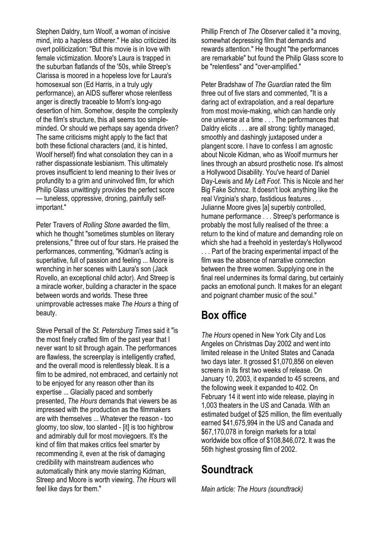Stephen Daldry, turn Woolf, a woman of incisive mind, into a hapless ditherer." He also criticized its overt politicization: "But this movie is in love with female victimization. Moore's Laura is trapped in the suburban flatlands of the '50s, while Streep's Clarissa is moored in a hopeless love for Laura's homosexual son (Ed Harris, in a truly ugly performance), an AIDS sufferer whose relentless anger is directly traceable to Mom's long-ago desertion of him. Somehow, despite the complexity of the film's structure, this all seems too simpleminded. Or should we perhaps say agenda driven? The same criticisms might apply to the fact that both these fictional characters (and, it is hinted, Woolf herself) find what consolation they can in a rather dispassionate lesbianism. This ultimately proves insufficient to lend meaning to their lives or profundity to a grim and uninvolved film, for which Philip Glass unwittingly provides the perfect score — tuneless, oppressive, droning, painfully selfimportant."

Peter Travers of *Rolling Stone* awarded the film, which he thought "sometimes stumbles on literary pretensions," three out of four stars. He praised the performances, commenting, "Kidman's acting is superlative, full of passion and feeling ... Moore is wrenching in her scenes with Laura's son (Jack Rovello, an exceptional child actor). And Streep is a miracle worker, building a character in the space between words and worlds. These three unimprovable actresses make *The Hours* a thing of beauty.

Steve Persall of the *St. Petersburg Times* said it "is the most finely crafted film of the past year that I never want to sit through again. The performances are flawless, the screenplay is intelligently crafted, and the overall mood is relentlessly bleak. It is a film to be admired, not embraced, and certainly not to be enjoyed for any reason other than its expertise ... Glacially paced and somberly presented, *The Hours* demands that viewers be as impressed with the production as the filmmakers are with themselves ... Whatever the reason - too gloomy, too slow, too slanted - [it] is too highbrow and admirably dull for most moviegoers. It's the kind of film that makes critics feel smarter by recommending it, even at the risk of damaging credibility with mainstream audiences who automatically think any movie starring Kidman, Streep and Moore is worth viewing. *The Hours* will feel like days for them."

Phillip French of *The Observer* called it "a moving, somewhat depressing film that demands and rewards attention." He thought "the performances are remarkable" but found the Philip Glass score to be "relentless" and "over-amplified."

Peter Bradshaw of *The Guardian* rated the film three out of five stars and commented, "It is a daring act of extrapolation, and a real departure from most movie-making, which can handle only one universe at a time . . . The performances that Daldry elicits . . . are all strong: tightly managed, smoothly and dashingly juxtaposed under a plangent score. I have to confess I am agnostic about Nicole Kidman, who as Woolf murmurs her lines through an absurd prosthetic nose. It's almost a Hollywood Disability. You've heard of Daniel Day-Lewis and *My Left Foot*. This is Nicole and her Big Fake Schnoz. It doesn't look anything like the real Virginia's sharp, fastidious features . . . Julianne Moore gives [a] superbly controlled, humane performance . . . Streep's performance is probably the most fully realised of the three: a return to the kind of mature and demanding role on which she had a freehold in yesterday's Hollywood . . . Part of the bracing experimental impact of the film was the absence of narrative connection between the three women. Supplying one in the final reel undermines its formal daring, but certainly packs an emotional punch. It makes for an elegant and poignant chamber music of the soul."

## **Box office**

*The Hours* opened in New York City and Los Angeles on Christmas Day 2002 and went into limited release in the United States and Canada two days later. It grossed \$1,070,856 on eleven screens in its first two weeks of release. On January 10, 2003, it expanded to 45 screens, and the following week it expanded to 402. On February 14 it went into wide release, playing in 1,003 theaters in the US and Canada. With an estimated budget of \$25 million, the film eventually earned \$41,675,994 in the US and Canada and \$67,170,078 in foreign markets for a total worldwide box office of \$108,846,072. It was the 56th highest grossing film of 2002.

## **Soundtrack**

*Main article: The Hours (soundtrack)*